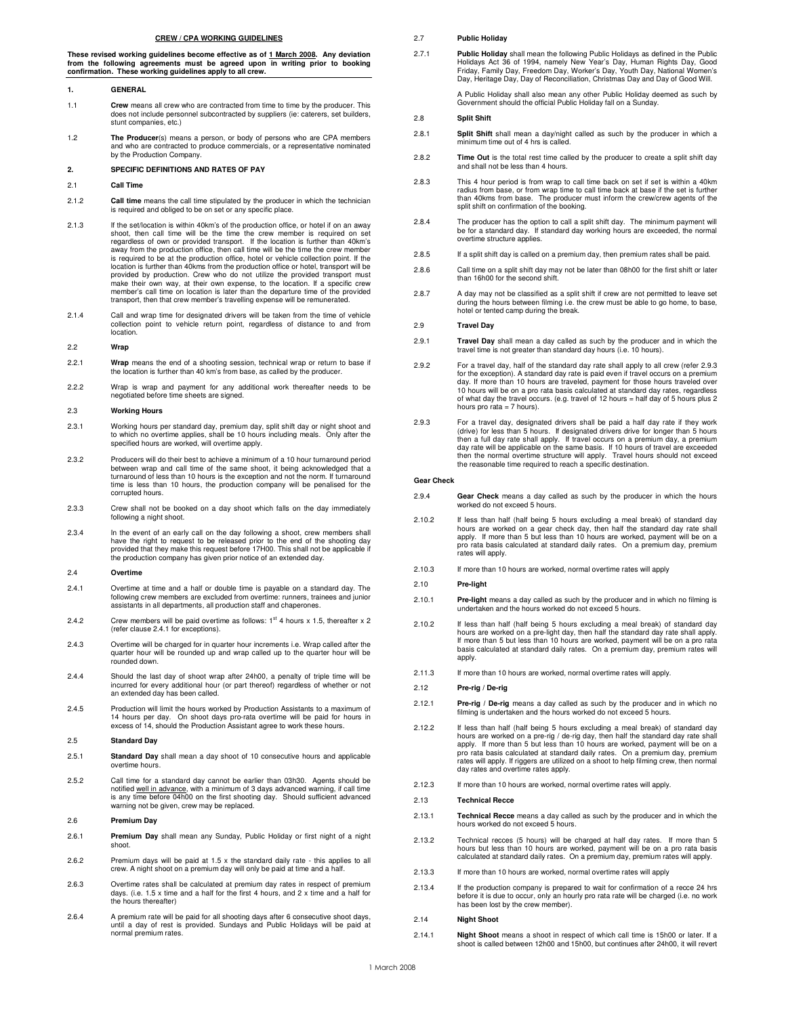## **CREW / CPA WORKING GUIDELINES**

These revised working guidelines become effective as of <u>1 March 2008</u>. Any deviation<br>from the following agreements must be agreed upon in writing prior to booking<br>confirmation. These working guidelines apply to all crew.

#### **1. GENERAL**

- 1.1 **Crew** means all crew who are contracted from time to time by the producer. This does not include personnel subcontracted by suppliers (ie: caterers, set builders, stunt companies, etc.)
- 1.2 **The Producer**(s) means a person, or body of persons who are CPA members and who are contracted to produce commercials, or a representative nominated by the Production Company.

# **2. SPECIFIC DEFINITIONS AND RATES OF PAY**

#### 2.1 **Call Time**

- 2.1.2 **Call time** means the call time stipulated by the producer in which the technician is required and obliged to be on set or any specific place.
- 2.1.3 If the set/location is within 40km's of the production office, or hotel if on an away<br>shoot, then call time will be the time the crew member is required on set<br>regardless of own or provided transport. If the location away from the production office, then call time will be the time the crew member is required to be at the production office, hotel or vehicle collection point. If the location is further than 40kms from the production office or hotel, transport will be provided by production. Crew who do not utilize the provided transport must make their own way, at their own expense, to the location. If a specific crew member's call time on location is later than the departure time of the provided transport, then that crew member's travelling expense will be remunerated.
- 2.1.4 Call and wrap time for designated drivers will be taken from the time of vehicle collection point to vehicle return point, regardless of distance to and from location.

## 2.2 **Wrap**

- 2.2.1 **Wrap** means the end of a shooting session, technical wrap or return to base if the location is further than 40 km's from base, as called by the producer
- 2.2.2 Wrap is wrap and payment for any additional work thereafter needs to be negotiated before time sheets are signed.

## 2.3 **Working Hours**

- 2.3.1 Working hours per standard day, premium day, split shift day or night shoot and to which no overtime applies, shall be 10 hours including meals. Only after the specified hours are worked, will overtime apply.
- 2.3.2 Producers will do their best to achieve a minimum of a 10 hour turnaround period between wrap and call time of the same shoot, it being acknowledged that a turnaround of less than 10 hours is the exception and not the norm. If turnaround time is less than 10 hours, the production company will be penalised for the corrupted hours.
- 2.3.3 Crew shall not be booked on a day shoot which falls on the day immediately following a night shoot.
- 2.3.4 In the event of an early call on the day following a shoot, crew members shall have the right to request to be released prior to the end of the shooting day provided that they make this request before 17H00. This shall not be applicable if the production company has given prior notice of an extended day.

#### 2.4 **Overtime**

- 2.4.1 Overtime at time and a half or double time is payable on a standard day. The following crew members are excluded from overtime: runners, trainees and junior assistants in all departments, all production staff and chaperones.
- 2.4.2 Crew members will be paid overtime as follows:  $1<sup>st</sup>$  4 hours x 1.5, thereafter x 2 (refer clause 2.4.1 for exceptions).
- 2.4.3 Overtime will be charged for in quarter hour increments i.e. Wrap called after the quarter hour will be rounded up and wrap called up to the quarter hour will be rounded down.
- 2.4.4 Should the last day of shoot wrap after 24h00, a penalty of triple time will be incurred for every additional hour (or part thereof) regardless of whether or not an extended day has been called.
- 2.4.5 Production will limit the hours worked by Production Assistants to a maximum of<br>14 hours per day. On shoot days pro-rata overtime will be paid for hours in<br>excess of 14, should the Production Assistant agree to work

#### 2.5 **Standard Day**

- 2.5.1 **Standard Day** shall mean a day shoot of 10 consecutive hours and applicable overtime hours.
- 2.5.2 Call time for a standard day cannot be earlier than 03h30. Agents should be notified <u>well in advance,</u> with a minimum of 3 days advanced warning, if call time<br>is any time before 04h00 on the first shooting day. Should sufficient advanced warning not be given, crew may be replaced.

## 2.6 **Premium Day**

- 2.6.1 **Premium Day** shall mean any Sunday, Public Holiday or first night of a night shoot.
- 2.6.2 Premium days will be paid at 1.5 x the standard daily rate this applies to all crew. A night shoot on a premium day will only be paid at time and a half.
- 2.6.3 Overtime rates shall be calculated at premium day rates in respect of premium days. (i.e. 1.5 x time and a half for the first 4 hours, and 2 x time and a half for the hours thereafter)
- 2.6.4 A premium rate will be paid for all shooting days after 6 consecutive shoot days, until a day of rest is provided. Sundays and Public Holidays will be paid at normal premium rates.

#### 2.7 **Public Holiday**

2.7.1 **Public Holiday** shall mean the following Public Holidays as defined in the Public<br>Holidays Act 36 of 1994, namely New Year's Day, Human Rights Day, Good<br>Friday, Family Day, Freedom Day, Worker's Day, Youth Day, Nati

A Public Holiday shall also mean any other Public Holiday deemed as such by Government should the official Public Holiday fall on a Sunday.

## 2.8 **Split Shift**

- 2.8.1 **Split Shift** shall mean a day/night called as such by the producer in which a minimum time out of 4 hrs is called.
- 2.8.2 **Time Out** is the total rest time called by the producer to create a split shift day and shall not be less than 4 hours.
- 2.8.3 This 4 hour period is from wrap to call time back on set if set is within a 40km radius from base, or from wrap time to call time back at base if the set is further than 40kms from base. The producer must inform the crew/crew agents of the split shift on confirmation of the booking.
- 2.8.4 The producer has the option to call a split shift day. The minimum payment will be for a standard day. If standard day working hours are exceeded, the normal overtime structure applies.
- 2.8.5 If a split shift day is called on a premium day, then premium rates shall be paid.
- 2.8.6 Call time on a split shift day may not be later than 08h00 for the first shift or later than 16h00 for the second shift.
- 2.8.7 A day may not be classified as a split shift if crew are not permitted to leave set during the hours between filming i.e. the crew must be able to go home, to base, hotel or tented camp during the break.

## 2.9 **Travel Day**

- 2.9.1 **Travel Day** shall mean a day called as such by the producer and in which the travel time is not greater than standard day hours (i.e. 10 hours).
- 2.9.2 For a travel day, half of the standard day rate shall apply to all crew (refer 2.9.3 for the exception). A standard day rate is paid even if travel occurs on a premium<br>day. If more than 10 hours are traveled, payment for those hours traveled over<br>10 hours will be on a pro rata basis calculated at standard of what day the travel occurs. (e.g. travel of 12 hours = half day of 5 hours plus 2 hours pro rata = 7 hours).
- 2.9.3 For a travel day, designated drivers shall be paid a half day rate if they work (drive) for less than 5 hours. If designated drivers drive for longer than 5 hours then a full day rate shall apply. If travel occurs on a premium day, a premium day rate will be applicable on the same basis. If 10 hours of travel are exceeded then the normal overtime structure will apply. Travel hours should not exceed the reasonable time required to reach a specific destination.

# **Gear Check**

- 2.9.4 **Gear Check** means a day called as such by the producer in which the hours worked do not exceed 5 hours.
- 2.10.2 If less than half (half being 5 hours excluding a meal break) of standard day hours are worked on a gear check day, then half the standard day rate shall apply. If more than 5 but less than 10 hours are worked, payment will be on a pro rata basis calculated at standard daily rates. On a premium day, premium rates will apply.
- 2.10.3 If more than 10 hours are worked, normal overtime rates will apply

#### 2.10 **Pre-light**

- 2.10.1 **Pre-light** means a day called as such by the producer and in which no filming is undertaken and the hours worked do not exceed 5 hours.
- 2.10.2 If less than half (half being 5 hours excluding a meal break) of standard day hours are worked on a pre-light day, then half the standard day rate shall apply. If more than 5 but less than 10 hours are worked, payment will be on a pro rata basis calculated at standard daily rates. On a premium day, premium rates will apply.
- 2.11.3 If more than 10 hours are worked, normal overtime rates will apply.

# 2.12 **Pre-rig / De-rig**

- 2.12.1 **Pre-rig / De-rig** means a day called as such by the producer and in which no filming is undertaken and the hours worked do not exceed 5 hours.
- 2.12.2 If less than half (half being 5 hours excluding a meal break) of standard day hours are worked on a pre-rig / de-rig day, then half the standard day rate shall<br>apply. If more than 5 but less than 10 hours are worked, payment will be on a<br>pro rata basis calculated at standard daily rates. On a premi rates will apply. If riggers are utilized on a shoot to help filming crew, then normal day rates and overtime rates apply.
- 2.12.3 If more than 10 hours are worked, normal overtime rates will apply.

#### 2.13 **Technical Recce**

- 2.13.1 **Technical Recce** means a day called as such by the producer and in which the hours worked do not exceed 5 hours.
- 2.13.2 Technical recces (5 hours) will be charged at half day rates. If more than 5 hours but less than 10 hours are worked, payment will be on a pro rata basis calculated at standard daily rates. On a premium day, premium rates will apply.
- 2.13.3 If more than 10 hours are worked, normal overtime rates will apply
- 2.13.4 If the production company is prepared to wait for confirmation of a recce 24 hrs before it is due to occur, only an hourly pro rata rate will be charged (i.e. no work has been lost by the crew member).

## 2.14 **Night Shoot**

2.14.1 **Night Shoot** means a shoot in respect of which call time is 15h00 or later. If a shoot is called between 12h00 and 15h00, but continues after 24h00, it will revert